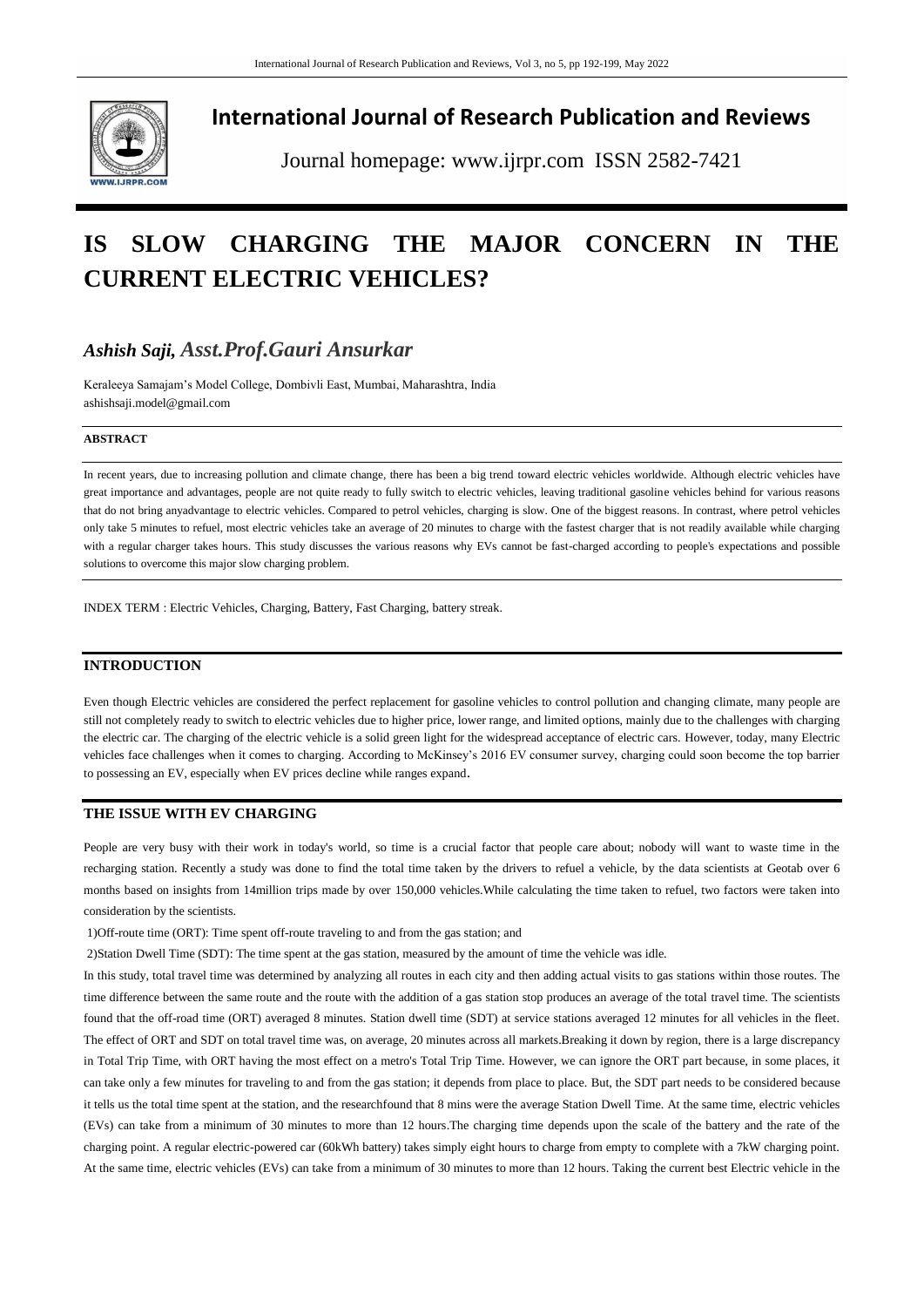

# **International Journal of Research Publication and Reviews**

Journal homepage: www.ijrpr.com ISSN 2582-7421

# **IS SLOW CHARGING THE MAJOR CONCERN IN THE CURRENT ELECTRIC VEHICLES?**

# *Ashish Saji, Asst.Prof.Gauri Ansurkar*

Keraleeya Samajam's Model College, Dombivli East, Mumbai, Maharashtra, India [ashishsaji.model@gmail.com](mailto:ashishsaji.model@gmail.com)

## **ABSTRACT**

In recent years, due to increasing pollution and climate change, there has been a big trend toward electric vehicles worldwide. Although electric vehicles have great importance and advantages, people are not quite ready to fully switch to electric vehicles, leaving traditional gasoline vehicles behind for various reasons that do not bring anyadvantage to electric vehicles. Compared to petrol vehicles, charging is slow. One of the biggest reasons. In contrast, where petrol vehicles only take 5 minutes to refuel, most electric vehicles take an average of 20 minutes to charge with the fastest charger that is not readily available while charging with a regular charger takes hours. This study discusses the various reasons why EVs cannot be fast-charged according to people's expectations and possible solutions to overcome this major slow charging problem.

INDEX TERM : Electric Vehicles, Charging, Battery, Fast Charging, battery streak.

# **INTRODUCTION**

Even though Electric vehicles are considered the perfect replacement for gasoline vehicles to control pollution and changing climate, many people are still not completely ready to switch to electric vehicles due to higher price, lower range, and limited options, mainly due to the challenges with charging the electric car. The charging of the electric vehicle is a solid green light for the widespread acceptance of electric cars. However, today, many Electric vehicles face challenges when it comes to charging. According to McKinsey's 2016 EV consumer survey, charging could soon become the top barrier to possessing an EV, especially when EV prices decline while ranges expand.

# **THE ISSUE WITH EV CHARGING**

People are very busy with their work in today's world, so time is a crucial factor that people care about; nobody will want to waste time in the recharging station. Recently a study was done to find the total time taken by the drivers to refuel a vehicle, by the data scientists at Geotab over 6 months based on insights from 14million trips made by over 150,000 vehicles.While calculating the time taken to refuel, two factors were taken into consideration by the scientists.

1)Off-route time (ORT): Time spent off-route traveling to and from the gas station; and

2)Station Dwell Time (SDT): The time spent at the gas station, measured by the amount of time the vehicle was idle.

In this study, total travel time was determined by analyzing all routes in each city and then adding actual visits to gas stations within those routes. The time difference between the same route and the route with the addition of a gas station stop produces an average of the total travel time. The scientists found that the off-road time (ORT) averaged 8 minutes. Station dwell time (SDT) at service stations averaged 12 minutes for all vehicles in the fleet. The effect of ORT and SDT on total travel time was, on average, 20 minutes across all markets.Breaking it down by region, there is a large discrepancy in Total Trip Time, with ORT having the most effect on a metro's Total Trip Time. However, we can ignore the ORT part because, in some places, it can take only a few minutes for traveling to and from the gas station; it depends from place to place. But, the SDT part needs to be considered because it tells us the total time spent at the station, and the researchfound that 8 mins were the average Station Dwell Time. At the same time, electric vehicles (EVs) can take from a minimum of 30 minutes to more than 12 hours.The charging time depends upon the scale of the battery and the rate of the charging point. A regular electric-powered car (60kWh battery) takes simply eight hours to charge from empty to complete with a 7kW charging point. At the same time, electric vehicles (EVs) can take from a minimum of 30 minutes to more than 12 hours. Taking the current best Electric vehicle in the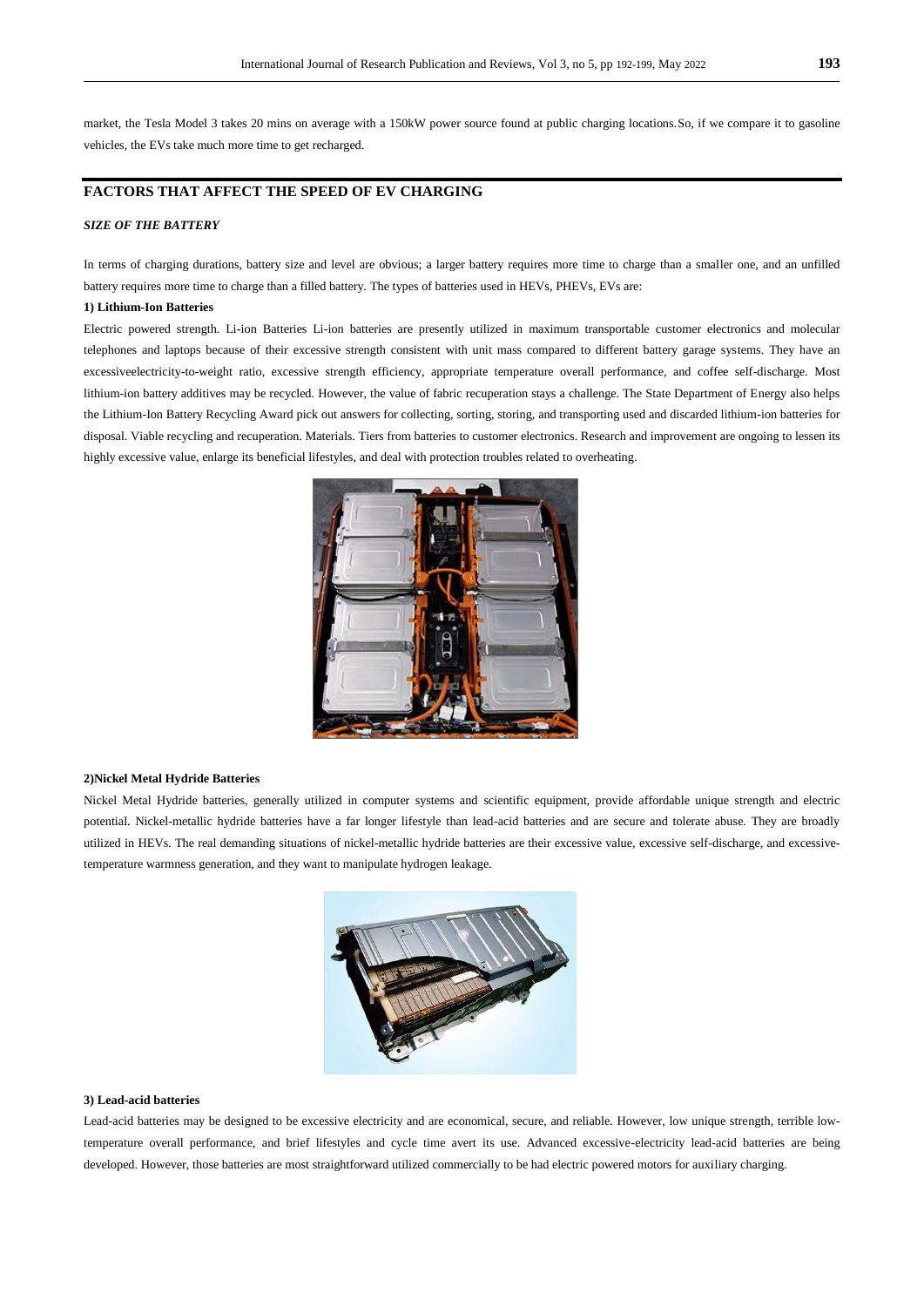market, the Tesla Model 3 takes 20 mins on average with a 150kW power source found at public charging locations.So, if we compare it to gasoline vehicles, the EVs take much more time to get recharged.

# **FACTORS THAT AFFECT THE SPEED OF EV CHARGING**

#### *SIZE OF THE BATTERY*

In terms of charging durations, battery size and level are obvious; a larger battery requires more time to charge than a smaller one, and an unfilled battery requires more time to charge than a filled battery. The types of batteries used in HEVs, PHEVs, EVs are:

#### **1) Lithium-Ion Batteries**

Electric powered strength. Li-ion Batteries Li-ion batteries are presently utilized in maximum transportable customer electronics and molecular telephones and laptops because of their excessive strength consistent with unit mass compared to different battery garage systems. They have an excessiveelectricity-to-weight ratio, excessive strength efficiency, appropriate temperature overall performance, and coffee self-discharge. Most lithium-ion battery additives may be recycled. However, the value of fabric recuperation stays a challenge. The State Department of Energy also helps the Lithium-Ion Battery Recycling Award pick out answers for collecting, sorting, storing, and transporting used and discarded lithium-ion batteries for disposal. Viable recycling and recuperation. Materials. Tiers from batteries to customer electronics. Research and improvement are ongoing to lessen its highly excessive value, enlarge its beneficial lifestyles, and deal with protection troubles related to overheating.



#### **2)Nickel Metal Hydride Batteries**

Nickel Metal Hydride batteries, generally utilized in computer systems and scientific equipment, provide affordable unique strength and electric potential. Nickel-metallic hydride batteries have a far longer lifestyle than lead-acid batteries and are secure and tolerate abuse. They are broadly utilized in HEVs. The real demanding situations of nickel-metallic hydride batteries are their excessive value, excessive self-discharge, and excessivetemperature warmness generation, and they want to manipulate hydrogen leakage.



#### **3) Lead-acid batteries**

Lead-acid batteries may be designed to be excessive electricity and are economical, secure, and reliable. However, low unique strength, terrible lowtemperature overall performance, and brief lifestyles and cycle time avert its use. Advanced excessive-electricity lead-acid batteries are being developed. However, those batteries are most straightforward utilized commercially to be had electric powered motors for auxiliary charging.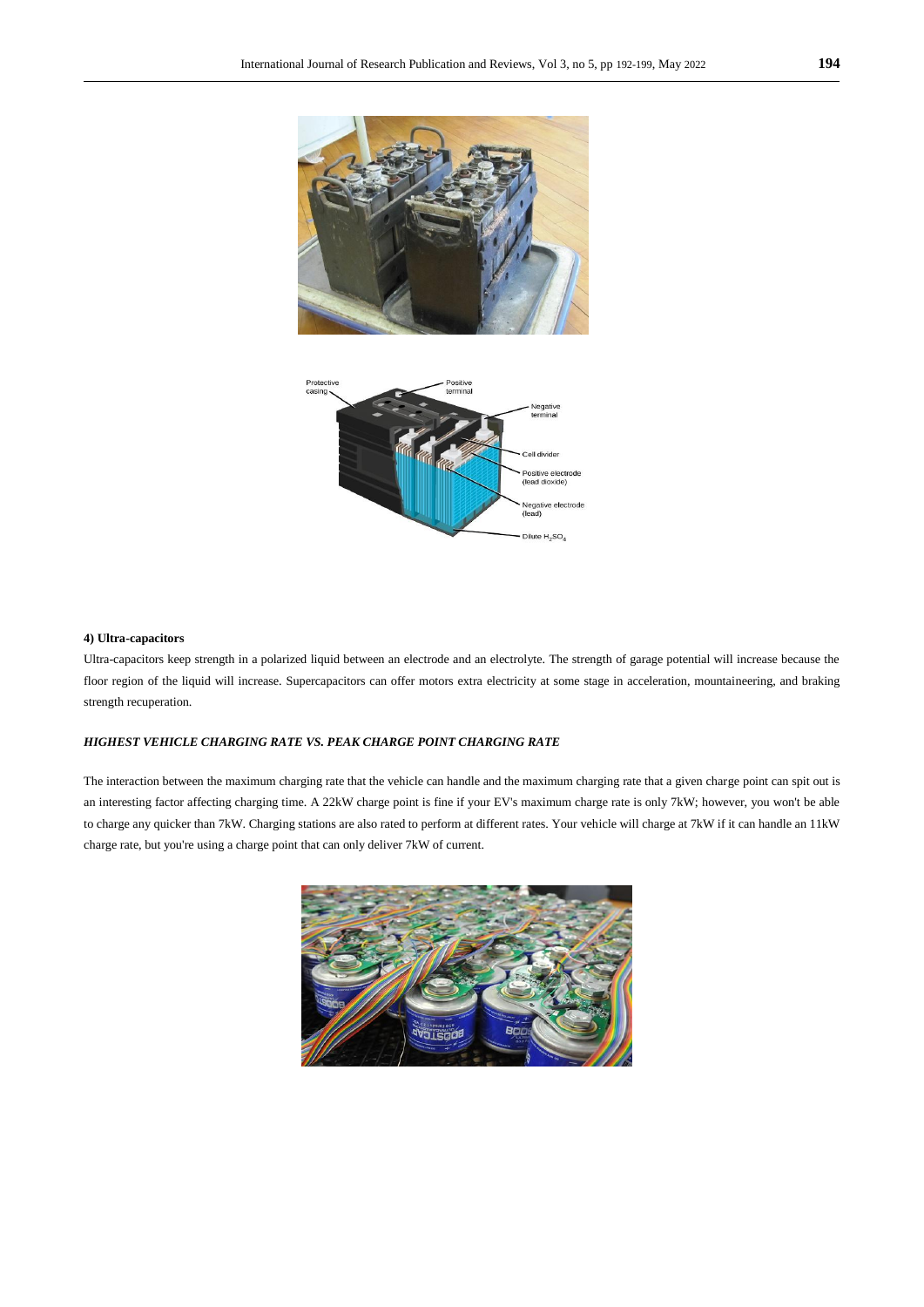



## **4) Ultra-capacitors**

Ultra-capacitors keep strength in a polarized liquid between an electrode and an electrolyte. The strength of garage potential will increase because the floor region of the liquid will increase. Supercapacitors can offer motors extra electricity at some stage in acceleration, mountaineering, and braking strength recuperation.

# *HIGHEST VEHICLE CHARGING RATE VS. PEAK CHARGE POINT CHARGING RATE*

The interaction between the maximum charging rate that the vehicle can handle and the maximum charging rate that a given charge point can spit out is an interesting factor affecting charging time. A 22kW charge point is fine if your EV's maximum charge rate is only 7kW; however, you won't be able to charge any quicker than 7kW. Charging stations are also rated to perform at different rates. Your vehicle will charge at 7kW if it can handle an 11kW charge rate, but you're using a charge point that can only deliver 7kW of current.

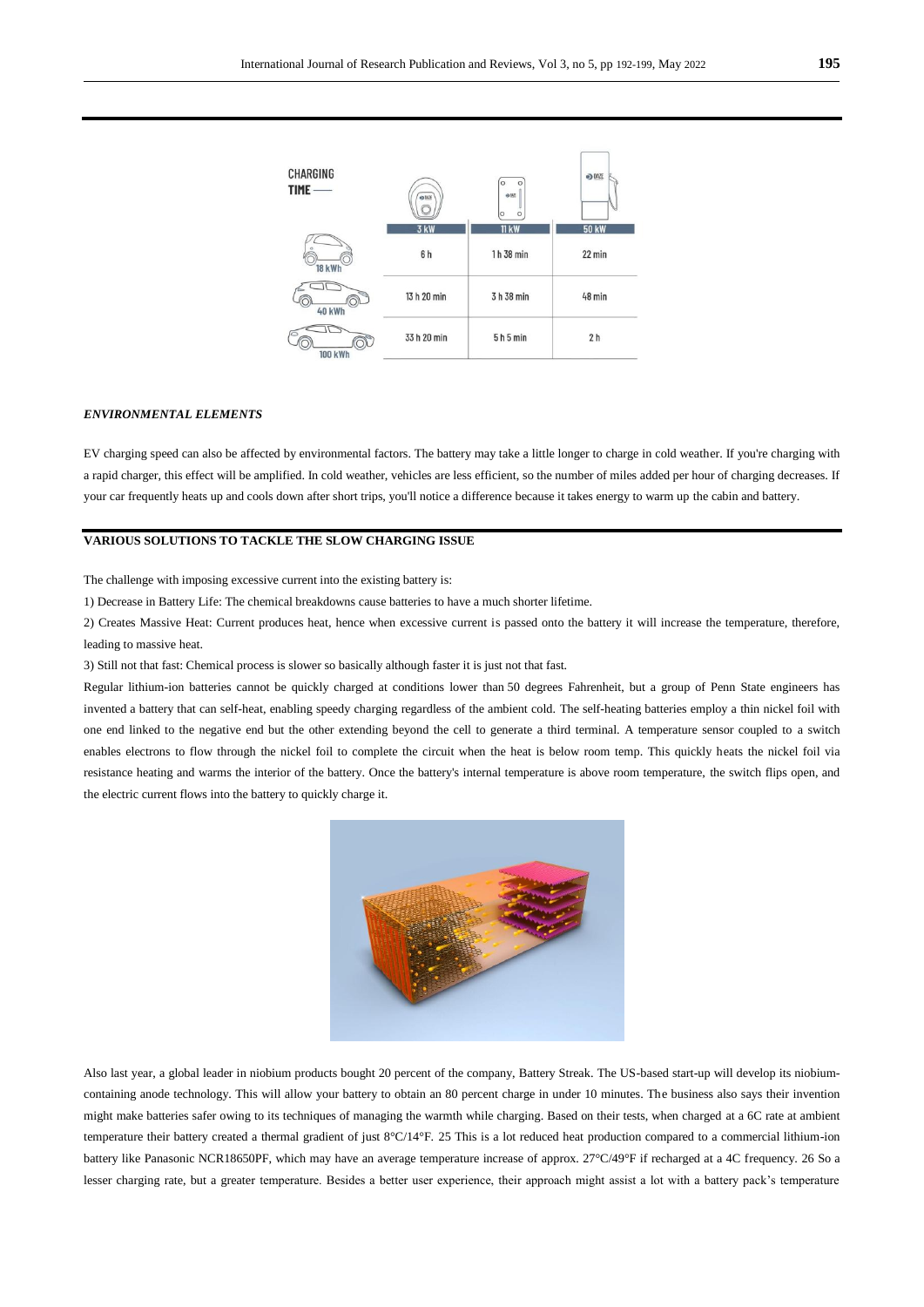

# *ENVIRONMENTAL ELEMENTS*

EV charging speed can also be affected by environmental factors. The battery may take a little longer to charge in cold weather. If you're charging with a rapid charger, this effect will be amplified. In cold weather, vehicles are less efficient, so the number of miles added per hour of charging decreases. If your car frequently heats up and cools down after short trips, you'll notice a difference because it takes energy to warm up the cabin and battery.

# **VARIOUS SOLUTIONS TO TACKLE THE SLOW CHARGING ISSUE**

The challenge with imposing excessive current into the existing battery is:

1) Decrease in Battery Life: The chemical breakdowns cause batteries to have a much shorter lifetime.

2) Creates Massive Heat: Current produces heat, hence when excessive current is passed onto the battery it will increase the temperature, therefore, leading to massive heat.

3) Still not that fast: Chemical process is slower so basically although faster it is just not that fast.

Regular lithium-ion batteries cannot be quickly charged at conditions lower than 50 degrees Fahrenheit, but a group of Penn State engineers has invented a battery that can self-heat, enabling speedy charging regardless of the ambient cold. The self-heating batteries employ a thin nickel foil with one end linked to the negative end but the other extending beyond the cell to generate a third terminal. A temperature sensor coupled to a switch enables electrons to flow through the nickel foil to complete the circuit when the heat is below room temp. This quickly heats the nickel foil via resistance heating and warms the interior of the battery. Once the battery's internal temperature is above room temperature, the switch flips open, and the electric current flows into the battery to quickly charge it.



Also last year, a global leader in niobium products bought 20 percent of the company, Battery Streak. The US-based start-up will develop its niobiumcontaining anode technology. This will allow your battery to obtain an 80 percent charge in under 10 minutes. The business also says their invention might make batteries safer owing to its techniques of managing the warmth while charging. Based on their tests, when charged at a 6C rate at ambient temperature their battery created a thermal gradient of just 8°C/14°F. 25 This is a lot reduced heat production compared to a commercial lithium-ion battery like Panasonic NCR18650PF, which may have an average temperature increase of approx. 27°C/49°F if recharged at a 4C frequency. 26 So a lesser charging rate, but a greater temperature. Besides a better user experience, their approach might assist a lot with a battery pack's temperature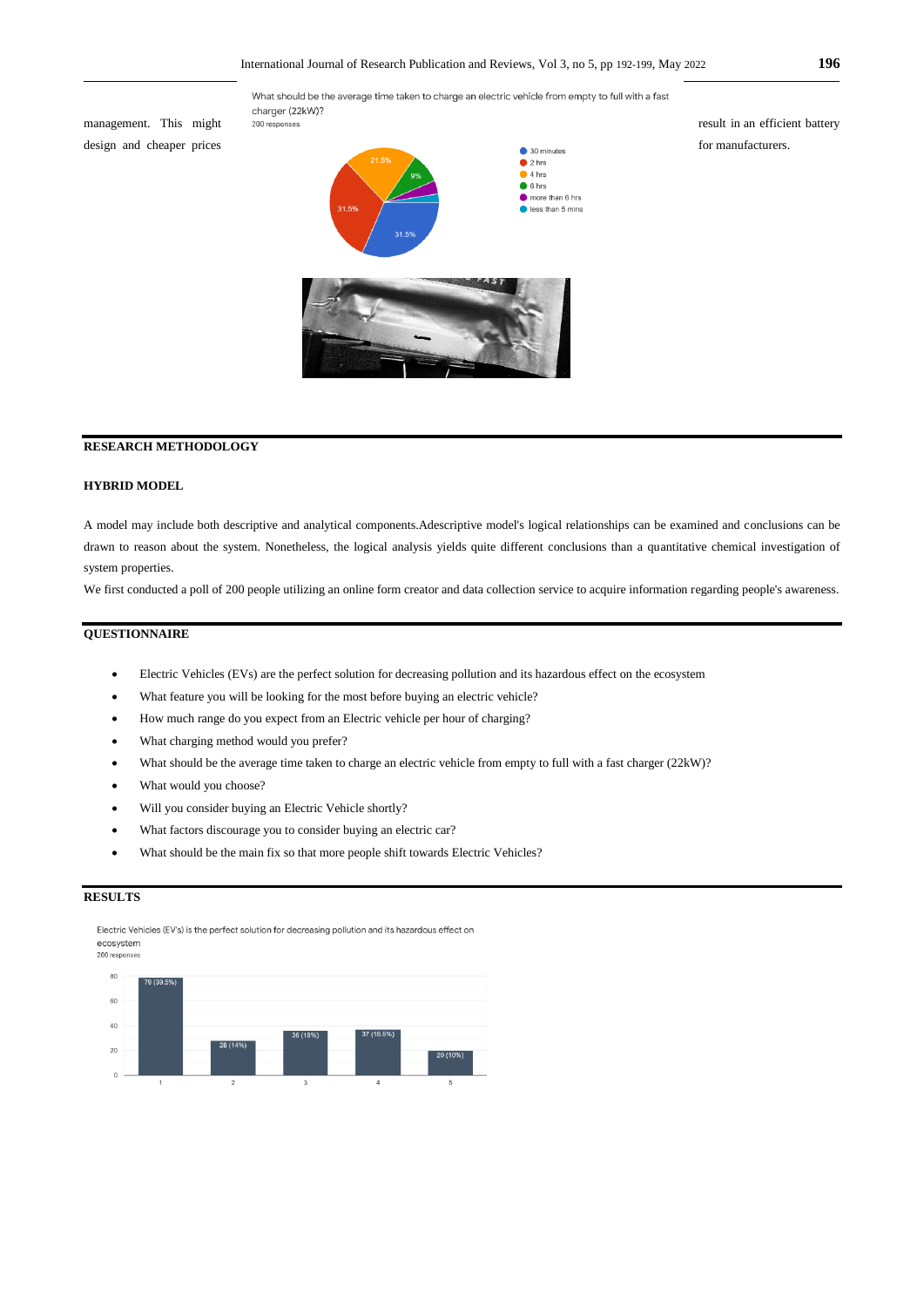What should be the average time taken to charge an electric vehicle from empty to full with a fast charger (22kW)?



#### **RESEARCH METHODOLOGY**

### **HYBRID MODEL**

A model may include both descriptive and analytical components.Adescriptive model's logical relationships can be examined and conclusions can be drawn to reason about the system. Nonetheless, the logical analysis yields quite different conclusions than a quantitative chemical investigation of system properties.

We first conducted a poll of 200 people utilizing an online form creator and data collection service to acquire information regarding people's awareness.

# **QUESTIONNAIRE**

- Electric Vehicles (EVs) are the perfect solution for decreasing pollution and its hazardous effect on the ecosystem
- What feature you will be looking for the most before buying an electric vehicle?
- How much range do you expect from an Electric vehicle per hour of charging?
- What charging method would you prefer?
- What should be the average time taken to charge an electric vehicle from empty to full with a fast charger (22kW)?
- What would you choose?
- Will you consider buying an Electric Vehicle shortly?
- What factors discourage you to consider buying an electric car?
- What should be the main fix so that more people shift towards Electric Vehicles?

# **RESULTS**

Electric Vehicles (EV's) is the perfect solution for decreasing pollution and its hazardous effect on ecosystem 200 responser

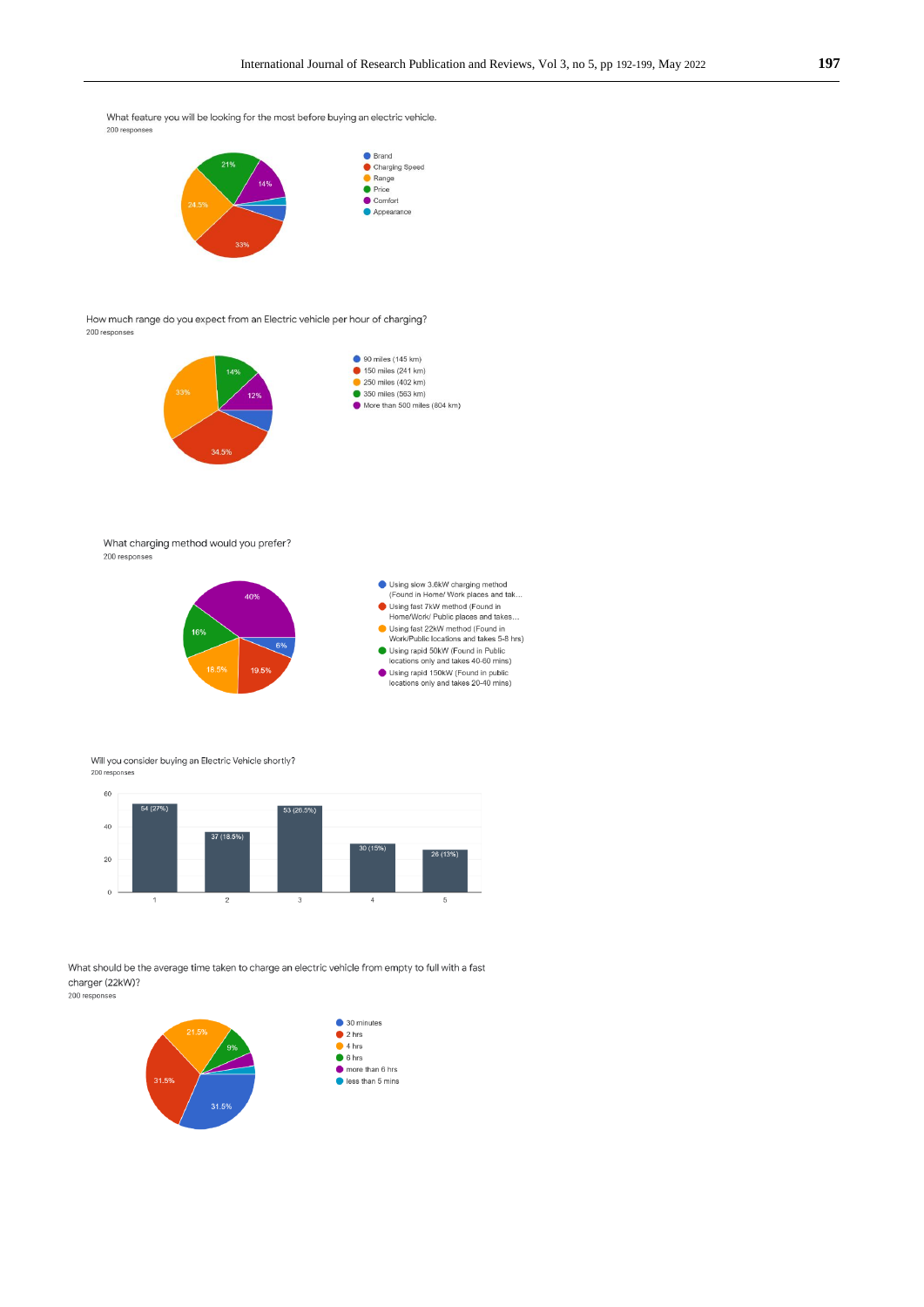What feature you will be looking for the most before buying an electric vehicle. 200 responses



How much range do you expect from an Electric vehicle per hour of charging? 200 responses



What charging method would you prefer? 200 responses



Will you consider buying an Electric Vehicle shortly? 200 responses



What should be the average time taken to charge an electric vehicle from empty to full with a fast charger (22kW)?

200 responses

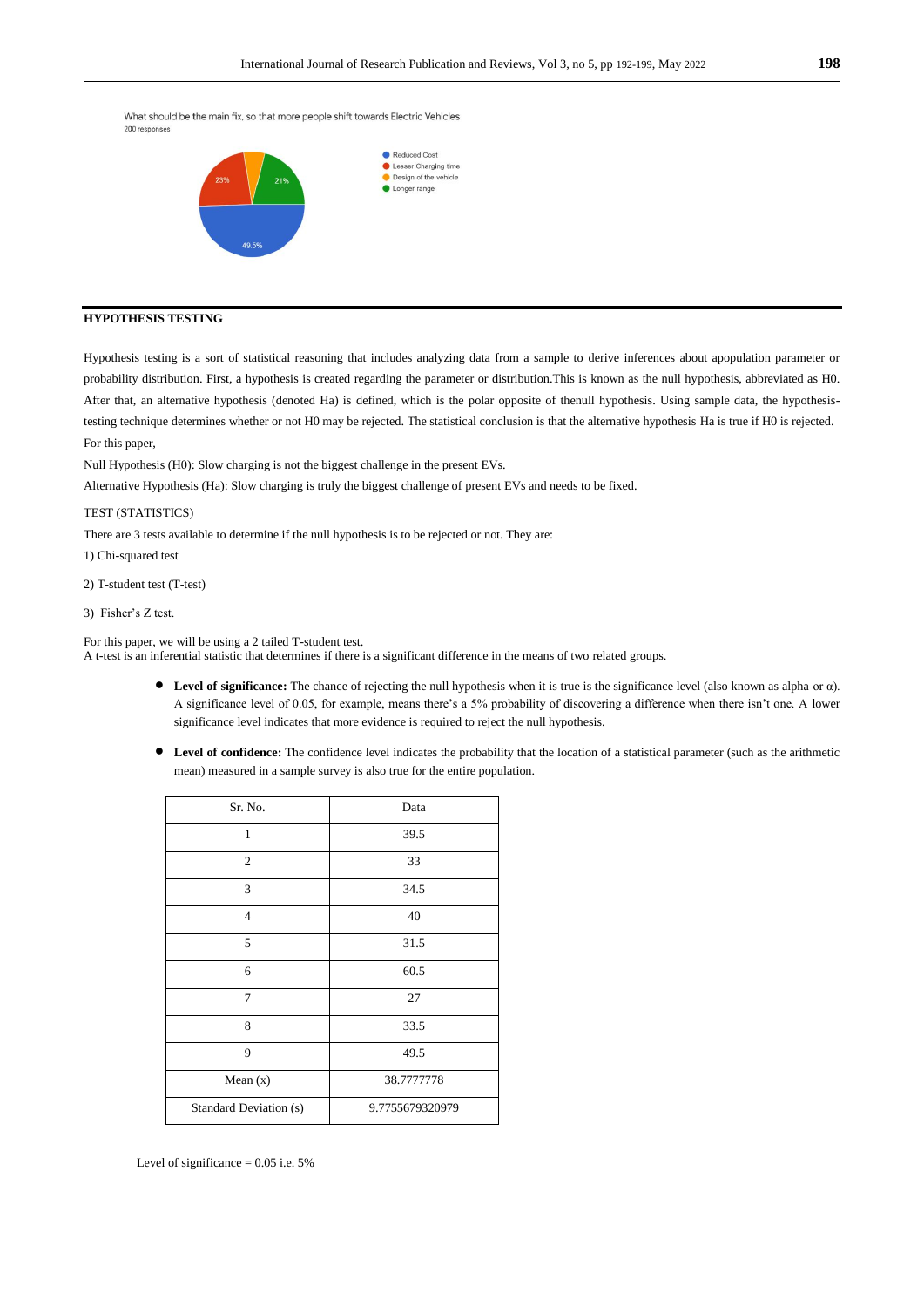What should be the main fix, so that more people shift towards Electric Vehicles 200 response



# **HYPOTHESIS TESTING**

Hypothesis testing is a sort of statistical reasoning that includes analyzing data from a sample to derive inferences about apopulation parameter or probability distribution. First, a hypothesis is created regarding the parameter or distribution.This is known as the null hypothesis, abbreviated as H0. After that, an alternative hypothesis (denoted Ha) is defined, which is the polar opposite of thenull hypothesis. Using sample data, the hypothesistesting technique determines whether or not H0 may be rejected. The statistical conclusion is that the alternative hypothesis Ha is true if H0 is rejected. For this paper,

Null Hypothesis (H0): Slow charging is not the biggest challenge in the present EVs.

Alternative Hypothesis (Ha): Slow charging is truly the biggest challenge of present EVs and needs to be fixed.

#### TEST (STATISTICS)

There are 3 tests available to determine if the null hypothesis is to be rejected or not. They are:

1) Chi-squared test

2) T-student test (T-test)

3) Fisher's Z test.

For this paper, we will be using a 2 tailed T-student test.

A t-test is an inferential statistic that determines if there is a significant difference in the means of two related groups.

- **Level of significance:** The chance of rejecting the null hypothesis when it is true is the significance level (also known as alpha or α). A significance level of 0.05, for example, means there's a 5% probability of discovering a difference when there isn't one. A lower significance level indicates that more evidence is required to reject the null hypothesis.
- **Level of confidence:** The confidence level indicates the probability that the location of a statistical parameter (such as the arithmetic mean) measured in a sample survey is also true for the entire population.

| Sr. No.                | Data            |
|------------------------|-----------------|
| 1                      | 39.5            |
| $\mathfrak{2}$         | 33              |
| 3                      | 34.5            |
| $\overline{4}$         | 40              |
| 5                      | 31.5            |
| 6                      | 60.5            |
| 7                      | 27              |
| 8                      | 33.5            |
| 9                      | 49.5            |
| Mean $(x)$             | 38.7777778      |
| Standard Deviation (s) | 9.7755679320979 |

Level of significance  $= 0.05$  i.e. 5%